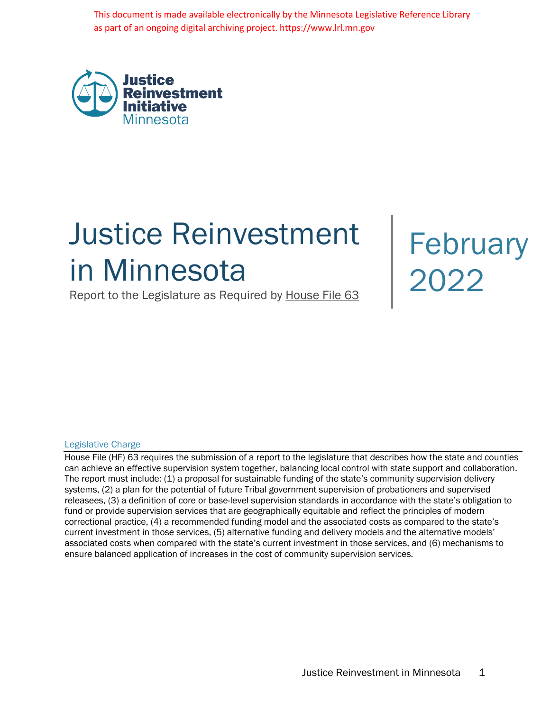This document is made available electronically by the Minnesota Legislative Reference Library as part of an ongoing digital archiving project. https://www.lrl.mn.gov



# Justice Reinvestment Justice Reinvestment<br>in Minnesota<br>2022

Report to the Legislature as Required by House File 63

#### Legislative Charge

House File (HF) 63 requires the submission of a report to the legislature that describes how the state and counties can achieve an effective supervision system together, balancing local control with state support and collaboration. The report must include: (1) a proposal for sustainable funding of the state's community supervision delivery systems, (2) a plan for the potential of future Tribal government supervision of probationers and supervised releasees, (3) a definition of core or base-level supervision standards in accordance with the state's obligation to fund or provide supervision services that are geographically equitable and reflect the principles of modern correctional practice, (4) a recommended funding model and the associated costs as compared to the state's current investment in those services, (5) alternative funding and delivery models and the alternative models' associated costs when compared with the state's current investment in those services, and (6) mechanisms to ensure balanced application of increases in the cost of community supervision services.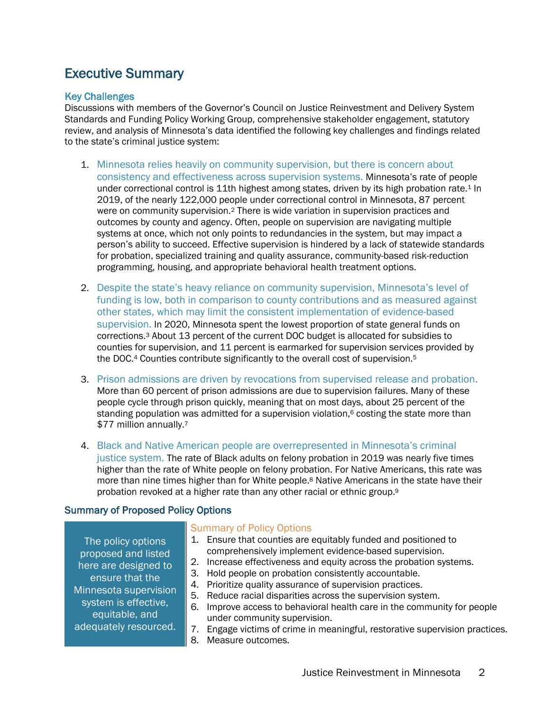### Executive Summary

#### Key Challenges

Discussions with members of the Governor's Council on Justice Reinvestment and Delivery System Standards and Funding Policy Working Group, comprehensive stakeholder engagement, statutory review, and analysis of Minnesota's data identified the following key challenges and findings related to the state's criminal justice system:

- 1. Minnesota relies heavily on community supervision, but there is concern about consistency and effectiveness across supervision systems. Minnesota's rate of people under correctional control is 11th highest among states, driven by its high probation rate.1 In 2019, of the nearly 122,000 people under correctional control in Minnesota, 87 percent were on community supervision.2 There is wide variation in supervision practices and outcomes by county and agency. Often, people on supervision are navigating multiple systems at once, which not only points to redundancies in the system, but may impact a person's ability to succeed. Effective supervision is hindered by a lack of statewide standards for probation, specialized training and quality assurance, community-based risk-reduction programming, housing, and appropriate behavioral health treatment options.
- 2. Despite the state's heavy reliance on community supervision, Minnesota's level of funding is low, both in comparison to county contributions and as measured against other states, which may limit the consistent implementation of evidence-based supervision. In 2020, Minnesota spent the lowest proportion of state general funds on corrections.3 About 13 percent of the current DOC budget is allocated for subsidies to counties for supervision, and 11 percent is earmarked for supervision services provided by the DOC.4 Counties contribute significantly to the overall cost of supervision.5
- 3. Prison admissions are driven by revocations from supervised release and probation. More than 60 percent of prison admissions are due to supervision failures. Many of these people cycle through prison quickly, meaning that on most days, about 25 percent of the standing population was admitted for a supervision violation, $6$  costing the state more than \$77 million annually.7
- 4. Black and Native American people are overrepresented in Minnesota's criminal justice system. The rate of Black adults on felony probation in 2019 was nearly five times higher than the rate of White people on felony probation. For Native Americans, this rate was more than nine times higher than for White people.<sup>8</sup> Native Americans in the state have their probation revoked at a higher rate than any other racial or ethnic group.9

#### Summary of Proposed Policy Options

The policy options proposed and listed here are designed to ensure that the Minnesota supervision system is effective, equitable, and adequately resourced.

#### Summary of Policy Options

- 1. Ensure that counties are equitably funded and positioned to comprehensively implement evidence-based supervision.
- 2. Increase effectiveness and equity across the probation systems.
- 3. Hold people on probation consistently accountable.
- 4. Prioritize quality assurance of supervision practices.
- 5. Reduce racial disparities across the supervision system.
- 6. Improve access to behavioral health care in the community for people under community supervision.
- 7. Engage victims of crime in meaningful, restorative supervision practices.
- 8. Measure outcomes.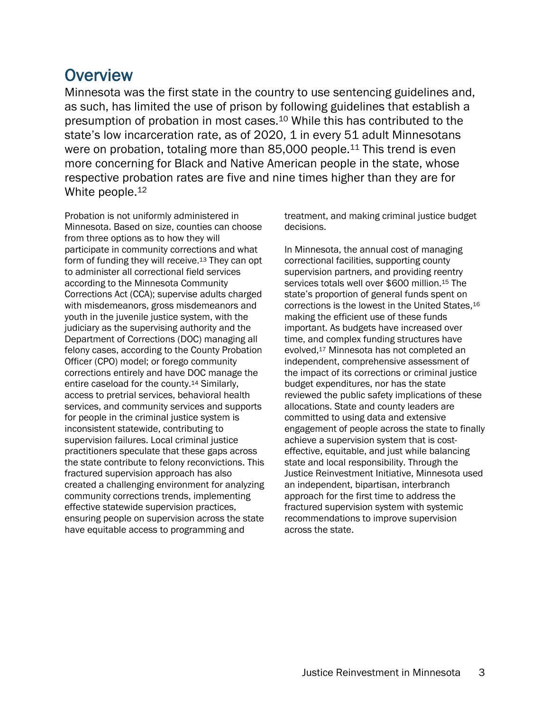**Overview**<br>Minnesota was the first state in the country to use sentencing guidelines and, as such, has limited the use of prison by following guidelines that establish a presumption of probation in most cases.10 While this has contributed to the state's low incarceration rate, as of 2020, 1 in every 51 adult Minnesotans were on probation, totaling more than 85,000 people.<sup>11</sup> This trend is even more concerning for Black and Native American people in the state, whose respective probation rates are five and nine times higher than they are for White people.<sup>12</sup>

Probation is not uniformly administered in Minnesota. Based on size, counties can choose from three options as to how they will participate in community corrections and what form of funding they will receive.13 They can opt to administer all correctional field services according to the Minnesota Community Corrections Act (CCA); supervise adults charged with misdemeanors, gross misdemeanors and youth in the juvenile justice system, with the judiciary as the supervising authority and the Department of Corrections (DOC) managing all felony cases, according to the County Probation Officer (CPO) model; or forego community corrections entirely and have DOC manage the entire caseload for the county.14 Similarly, access to pretrial services, behavioral health services, and community services and supports for people in the criminal justice system is inconsistent statewide, contributing to supervision failures. Local criminal justice practitioners speculate that these gaps across the state contribute to felony reconvictions. This fractured supervision approach has also created a challenging environment for analyzing community corrections trends, implementing effective statewide supervision practices, ensuring people on supervision across the state have equitable access to programming and

treatment, and making criminal justice budget decisions.

In Minnesota, the annual cost of managing correctional facilities, supporting county supervision partners, and providing reentry services totals well over \$600 million.<sup>15</sup> The state's proportion of general funds spent on corrections is the lowest in the United States,16 making the efficient use of these funds important. As budgets have increased over time, and complex funding structures have evolved,17 Minnesota has not completed an independent, comprehensive assessment of the impact of its corrections or criminal justice budget expenditures, nor has the state reviewed the public safety implications of these allocations. State and county leaders are committed to using data and extensive engagement of people across the state to finally achieve a supervision system that is costeffective, equitable, and just while balancing state and local responsibility. Through the Justice Reinvestment Initiative, Minnesota used an independent, bipartisan, interbranch approach for the first time to address the fractured supervision system with systemic recommendations to improve supervision across the state.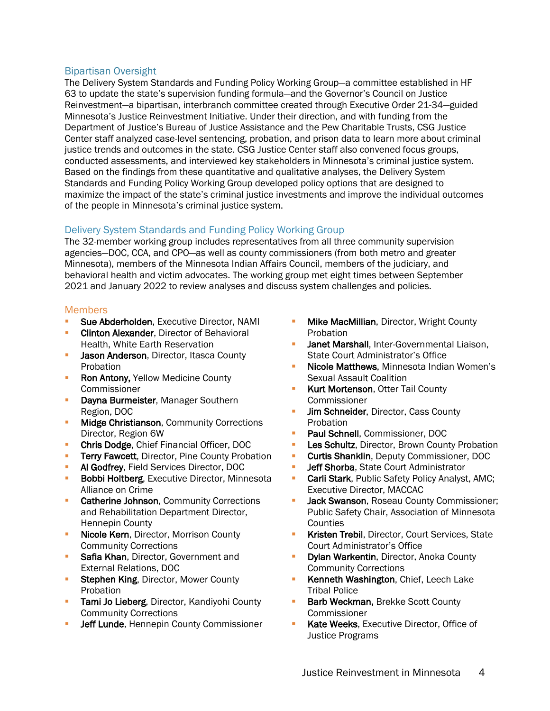#### Bipartisan Oversight

The Delivery System Standards and Funding Policy Working Group—a committee established in HF 63 to update the state's supervision funding formula—and the Governor's Council on Justice Reinvestment—a bipartisan, interbranch committee created through Executive Order 21-34—guided Minnesota's Justice Reinvestment Initiative. Under their direction, and with funding from the Department of Justice's Bureau of Justice Assistance and the Pew Charitable Trusts, CSG Justice Center staff analyzed case-level sentencing, probation, and prison data to learn more about criminal justice trends and outcomes in the state. CSG Justice Center staff also convened focus groups, conducted assessments, and interviewed key stakeholders in Minnesota's criminal justice system. Based on the findings from these quantitative and qualitative analyses, the Delivery System Standards and Funding Policy Working Group developed policy options that are designed to maximize the impact of the state's criminal justice investments and improve the individual outcomes of the people in Minnesota's criminal justice system.

#### Delivery System Standards and Funding Policy Working Group

The 32-member working group includes representatives from all three community supervision agencies—DOC, CCA, and CPO—as well as county commissioners (from both metro and greater Minnesota), members of the Minnesota Indian Affairs Council, members of the judiciary, and behavioral health and victim advocates. The working group met eight times between September 2021 and January 2022 to review analyses and discuss system challenges and policies.

#### **Members**

- Sue Abderholden, Executive Director, NAMI
- **Clinton Alexander, Director of Behavioral** Health, White Earth Reservation
- Jason Anderson, Director, Itasca County Probation
- **Ron Antony, Yellow Medicine County** Commissioner
- **Dayna Burmeister, Manager Southern** Region, DOC
- **Midge Christianson, Community Corrections** Director, Region 6W
- **Chris Dodge, Chief Financial Officer, DOC**
- **Terry Fawcett, Director, Pine County Probation**
- **Al Godfrey, Field Services Director, DOC**
- **Bobbi Holtberg**, Executive Director, Minnesota Alliance on Crime
- Catherine Johnson, Community Corrections and Rehabilitation Department Director, Hennepin County
- **Nicole Kern**, Director, Morrison County Community Corrections
- Safia Khan, Director, Government and External Relations, DOC
- Stephen King, Director, Mower County Probation
- **Tami Jo Lieberg**, Director, Kandiyohi County Community Corrections
- Jeff Lunde, Hennepin County Commissioner
- **Mike MacMillian, Director, Wright County** Probation
- Janet Marshall, Inter-Governmental Liaison, State Court Administrator's Office
- § Nicole Matthews, Minnesota Indian Women's Sexual Assault Coalition
- Kurt Mortenson, Otter Tail County **Commissioner**
- **Jim Schneider, Director, Cass County** Probation
- § Paul Schnell, Commissioner, DOC
- Les Schultz, Director, Brown County Probation
- **Curtis Shanklin, Deputy Commissioner, DOC**
- Jeff Shorba, State Court Administrator
- **Carli Stark**, Public Safety Policy Analyst, AMC; Executive Director, MACCAC
- Jack Swanson, Roseau County Commissioner; Public Safety Chair, Association of Minnesota **Counties**
- **Kristen Trebil, Director, Court Services, State** Court Administrator's Office
- **Dylan Warkentin, Director, Anoka County** Community Corrections
- Kenneth Washington, Chief, Leech Lake Tribal Police
- **Barb Weckman, Brekke Scott County** Commissioner
- Kate Weeks, Executive Director, Office of Justice Programs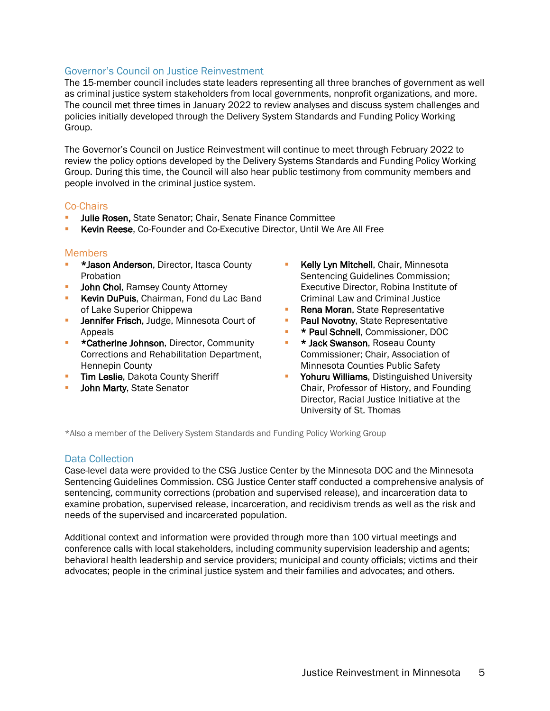#### Governor's Council on Justice Reinvestment

The 15-member council includes state leaders representing all three branches of government as well as criminal justice system stakeholders from local governments, nonprofit organizations, and more. The council met three times in January 2022 to review analyses and discuss system challenges and policies initially developed through the Delivery System Standards and Funding Policy Working Group.

The Governor's Council on Justice Reinvestment will continue to meet through February 2022 to review the policy options developed by the Delivery Systems Standards and Funding Policy Working Group. During this time, the Council will also hear public testimony from community members and people involved in the criminal justice system.

#### Co-Chairs

- Julie Rosen, State Senator; Chair, Senate Finance Committee
- § Kevin Reese, Co-Founder and Co-Executive Director, Until We Are All Free

#### **Members**

- **\* \*Jason Anderson**, Director, Itasca County Probation
- **John Choi, Ramsey County Attorney**
- **Kevin DuPuis, Chairman, Fond du Lac Band** of Lake Superior Chippewa
- **Jennifer Frisch, Judge, Minnesota Court of** Appeals
- **EXECT** \*Catherine Johnson, Director, Community Corrections and Rehabilitation Department, Hennepin County
- **F** Tim Leslie, Dakota County Sheriff
- **John Marty, State Senator**
- **Kelly Lyn Mitchell**, Chair, Minnesota Sentencing Guidelines Commission; Executive Director, Robina Institute of Criminal Law and Criminal Justice
- Rena Moran, State Representative
- Paul Novotny, State Representative
- § \* Paul Schnell, Commissioner, DOC
- **E** \* Jack Swanson, Roseau County Commissioner; Chair, Association of Minnesota Counties Public Safety
- **Yohuru Williams**, Distinguished University Chair, Professor of History, and Founding Director, Racial Justice Initiative at the University of St. Thomas

\*Also a member of the Delivery System Standards and Funding Policy Working Group

#### Data Collection

Case-level data were provided to the CSG Justice Center by the Minnesota DOC and the Minnesota Sentencing Guidelines Commission. CSG Justice Center staff conducted a comprehensive analysis of sentencing, community corrections (probation and supervised release), and incarceration data to examine probation, supervised release, incarceration, and recidivism trends as well as the risk and needs of the supervised and incarcerated population.

Additional context and information were provided through more than 100 virtual meetings and conference calls with local stakeholders, including community supervision leadership and agents; behavioral health leadership and service providers; municipal and county officials; victims and their advocates; people in the criminal justice system and their families and advocates; and others.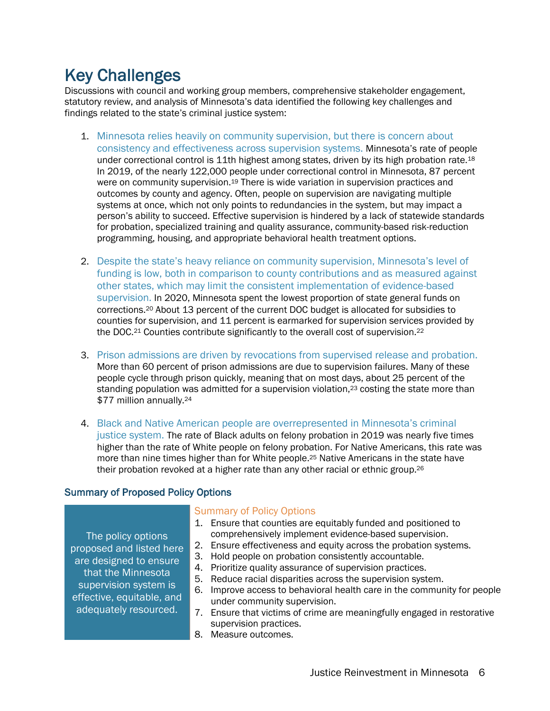Key Challenges<br>Discussions with council and working group members, comprehensive stakeholder engagement, statutory review, and analysis of Minnesota's data identified the following key challenges and findings related to the state's criminal justice system:

- 1. Minnesota relies heavily on community supervision, but there is concern about consistency and effectiveness across supervision systems. Minnesota's rate of people under correctional control is 11th highest among states, driven by its high probation rate.18 In 2019, of the nearly 122,000 people under correctional control in Minnesota, 87 percent were on community supervision.<sup>19</sup> There is wide variation in supervision practices and outcomes by county and agency. Often, people on supervision are navigating multiple systems at once, which not only points to redundancies in the system, but may impact a person's ability to succeed. Effective supervision is hindered by a lack of statewide standards for probation, specialized training and quality assurance, community-based risk-reduction programming, housing, and appropriate behavioral health treatment options.
- 2. Despite the state's heavy reliance on community supervision, Minnesota's level of funding is low, both in comparison to county contributions and as measured against other states, which may limit the consistent implementation of evidence-based supervision. In 2020, Minnesota spent the lowest proportion of state general funds on corrections.20 About 13 percent of the current DOC budget is allocated for subsidies to counties for supervision, and 11 percent is earmarked for supervision services provided by the DOC.<sup>21</sup> Counties contribute significantly to the overall cost of supervision.<sup>22</sup>
- 3. Prison admissions are driven by revocations from supervised release and probation. More than 60 percent of prison admissions are due to supervision failures. Many of these people cycle through prison quickly, meaning that on most days, about 25 percent of the standing population was admitted for a supervision violation,<sup>23</sup> costing the state more than \$77 million annually.<sup>24</sup>
- 4. Black and Native American people are overrepresented in Minnesota's criminal justice system. The rate of Black adults on felony probation in 2019 was nearly five times higher than the rate of White people on felony probation. For Native Americans, this rate was more than nine times higher than for White people.<sup>25</sup> Native Americans in the state have their probation revoked at a higher rate than any other racial or ethnic group.26

#### Summary of Proposed Policy Options

The policy options proposed and listed here are designed to ensure that the Minnesota supervision system is effective, equitable, and adequately resourced.

#### Summary of Policy Options

- 1. Ensure that counties are equitably funded and positioned to comprehensively implement evidence-based supervision.
- 2. Ensure effectiveness and equity across the probation systems.
- 3. Hold people on probation consistently accountable.
- 4. Prioritize quality assurance of supervision practices.
- 5. Reduce racial disparities across the supervision system.
- 6. Improve access to behavioral health care in the community for people under community supervision.
- 7. Ensure that victims of crime are meaningfully engaged in restorative supervision practices.
- 8. Measure outcomes.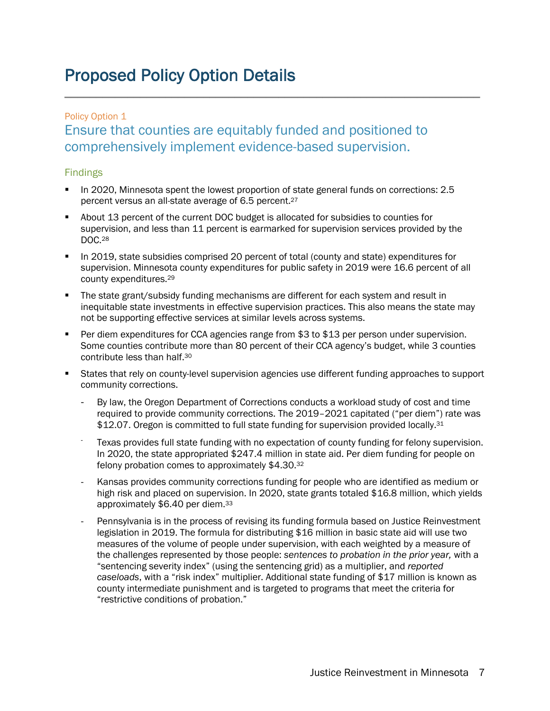### Proposed Policy Option Details

### Policy Option 1 Ensure that counties are equitably funded and positioned to comprehensively implement evidence-based supervision.

#### Findings

- § In 2020, Minnesota spent the lowest proportion of state general funds on corrections: 2.5 percent versus an all-state average of 6.5 percent.27
- § About 13 percent of the current DOC budget is allocated for subsidies to counties for supervision, and less than 11 percent is earmarked for supervision services provided by the DOC.28
- In 2019, state subsidies comprised 20 percent of total (county and state) expenditures for supervision. Minnesota county expenditures for public safety in 2019 were 16.6 percent of all county expenditures.29
- The state grant/subsidy funding mechanisms are different for each system and result in inequitable state investments in effective supervision practices. This also means the state may not be supporting effective services at similar levels across systems.
- Per diem expenditures for CCA agencies range from \$3 to \$13 per person under supervision. Some counties contribute more than 80 percent of their CCA agency's budget, while 3 counties contribute less than half.30
- § States that rely on county-level supervision agencies use different funding approaches to support community corrections.
	- By law, the Oregon Department of Corrections conducts a workload study of cost and time required to provide community corrections. The 2019–2021 capitated ("per diem") rate was \$12.07. Oregon is committed to full state funding for supervision provided locally.<sup>31</sup>
	- Texas provides full state funding with no expectation of county funding for felony supervision. In 2020, the state appropriated \$247.4 million in state aid. Per diem funding for people on felony probation comes to approximately \$4.30.32
	- Kansas provides community corrections funding for people who are identified as medium or high risk and placed on supervision. In 2020, state grants totaled \$16.8 million, which yields approximately \$6.40 per diem.33
	- Pennsylvania is in the process of revising its funding formula based on Justice Reinvestment legislation in 2019. The formula for distributing \$16 million in basic state aid will use two measures of the volume of people under supervision, with each weighted by a measure of the challenges represented by those people: *sentences to probation in the prior year,* with a "sentencing severity index" (using the sentencing grid) as a multiplier, and *reported caseloads*, with a "risk index" multiplier. Additional state funding of \$17 million is known as county intermediate punishment and is targeted to programs that meet the criteria for "restrictive conditions of probation."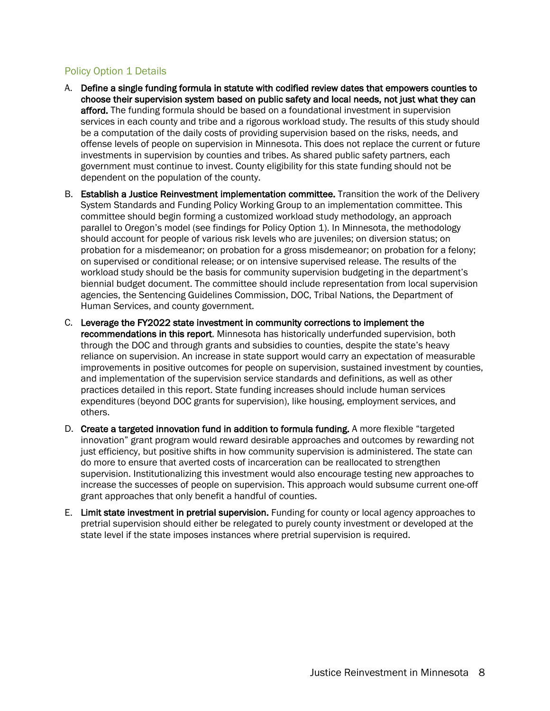#### Policy Option 1 Details

- A. Define a single funding formula in statute with codified review dates that empowers counties to choose their supervision system based on public safety and local needs, not just what they can afford. The funding formula should be based on a foundational investment in supervision services in each county and tribe and a rigorous workload study. The results of this study should be a computation of the daily costs of providing supervision based on the risks, needs, and offense levels of people on supervision in Minnesota. This does not replace the current or future investments in supervision by counties and tribes. As shared public safety partners, each government must continue to invest. County eligibility for this state funding should not be dependent on the population of the county.
- B. Establish a Justice Reinvestment implementation committee. Transition the work of the Delivery System Standards and Funding Policy Working Group to an implementation committee. This committee should begin forming a customized workload study methodology, an approach parallel to Oregon's model (see findings for Policy Option 1). In Minnesota, the methodology should account for people of various risk levels who are juveniles; on diversion status; on probation for a misdemeanor; on probation for a gross misdemeanor; on probation for a felony; on supervised or conditional release; or on intensive supervised release. The results of the workload study should be the basis for community supervision budgeting in the department's biennial budget document. The committee should include representation from local supervision agencies, the Sentencing Guidelines Commission, DOC, Tribal Nations, the Department of Human Services, and county government.
- C. Leverage the FY2022 state investment in community corrections to implement the recommendations in this report. Minnesota has historically underfunded supervision, both through the DOC and through grants and subsidies to counties, despite the state's heavy reliance on supervision. An increase in state support would carry an expectation of measurable improvements in positive outcomes for people on supervision, sustained investment by counties, and implementation of the supervision service standards and definitions, as well as other practices detailed in this report. State funding increases should include human services expenditures (beyond DOC grants for supervision), like housing, employment services, and others.
- D. Create a targeted innovation fund in addition to formula funding. A more flexible "targeted innovation" grant program would reward desirable approaches and outcomes by rewarding not just efficiency, but positive shifts in how community supervision is administered. The state can do more to ensure that averted costs of incarceration can be reallocated to strengthen supervision. Institutionalizing this investment would also encourage testing new approaches to increase the successes of people on supervision. This approach would subsume current one-off grant approaches that only benefit a handful of counties.
- E. Limit state investment in pretrial supervision. Funding for county or local agency approaches to pretrial supervision should either be relegated to purely county investment or developed at the state level if the state imposes instances where pretrial supervision is required.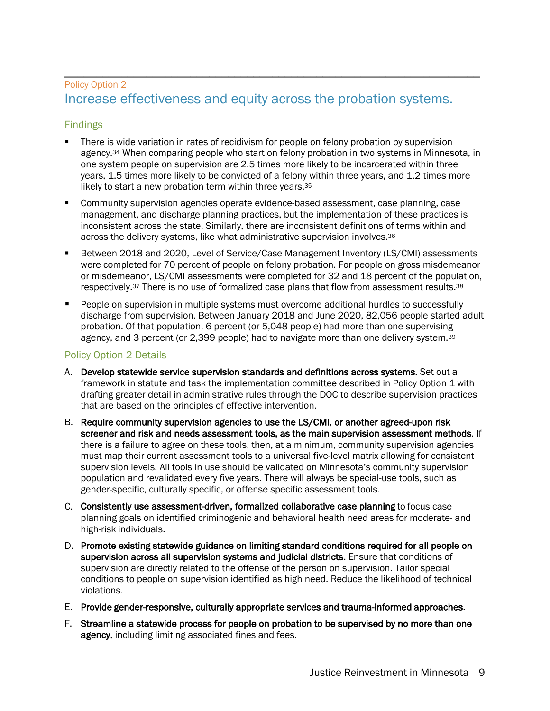## \_\_\_\_\_\_\_\_\_\_\_\_\_\_\_\_\_\_\_\_\_\_\_\_\_\_\_\_\_\_\_\_\_\_\_\_\_\_\_\_\_\_\_\_\_\_\_\_\_\_\_\_\_\_\_\_\_\_\_\_\_\_\_\_\_\_ Policy Option 2 Increase effectiveness and equity across the probation systems.

#### Findings

- There is wide variation in rates of recidivism for people on felony probation by supervision agency.<sup>34</sup> When comparing people who start on felony probation in two systems in Minnesota, in one system people on supervision are 2.5 times more likely to be incarcerated within three years, 1.5 times more likely to be convicted of a felony within three years, and 1.2 times more likely to start a new probation term within three years.35
- § Community supervision agencies operate evidence-based assessment, case planning, case management, and discharge planning practices, but the implementation of these practices is inconsistent across the state. Similarly, there are inconsistent definitions of terms within and across the delivery systems, like what administrative supervision involves.<sup>36</sup>
- § Between 2018 and 2020, Level of Service/Case Management Inventory (LS/CMI) assessments were completed for 70 percent of people on felony probation. For people on gross misdemeanor or misdemeanor, LS/CMI assessments were completed for 32 and 18 percent of the population, respectively.<sup>37</sup> There is no use of formalized case plans that flow from assessment results.<sup>38</sup>
- § People on supervision in multiple systems must overcome additional hurdles to successfully discharge from supervision. Between January 2018 and June 2020, 82,056 people started adult probation. Of that population, 6 percent (or 5,048 people) had more than one supervising agency, and 3 percent (or 2,399 people) had to navigate more than one delivery system.<sup>39</sup>

#### Policy Option 2 Details

- A. Develop statewide service supervision standards and definitions across systems. Set out a framework in statute and task the implementation committee described in Policy Option 1 with drafting greater detail in administrative rules through the DOC to describe supervision practices that are based on the principles of effective intervention.
- B. Require community supervision agencies to use the LS/CMI, or another agreed-upon risk screener and risk and needs assessment tools, as the main supervision assessment methods. If there is a failure to agree on these tools, then, at a minimum, community supervision agencies must map their current assessment tools to a universal five-level matrix allowing for consistent supervision levels. All tools in use should be validated on Minnesota's community supervision population and revalidated every five years. There will always be special-use tools, such as gender-specific, culturally specific, or offense specific assessment tools.
- C. Consistently use assessment-driven, formalized collaborative case planning to focus case planning goals on identified criminogenic and behavioral health need areas for moderate- and high-risk individuals.
- D. Promote existing statewide guidance on limiting standard conditions required for all people on supervision across all supervision systems and judicial districts. Ensure that conditions of supervision are directly related to the offense of the person on supervision. Tailor special conditions to people on supervision identified as high need. Reduce the likelihood of technical violations.
- E. Provide gender-responsive, culturally appropriate services and trauma-informed approaches.
- F. Streamline a statewide process for people on probation to be supervised by no more than one agency, including limiting associated fines and fees.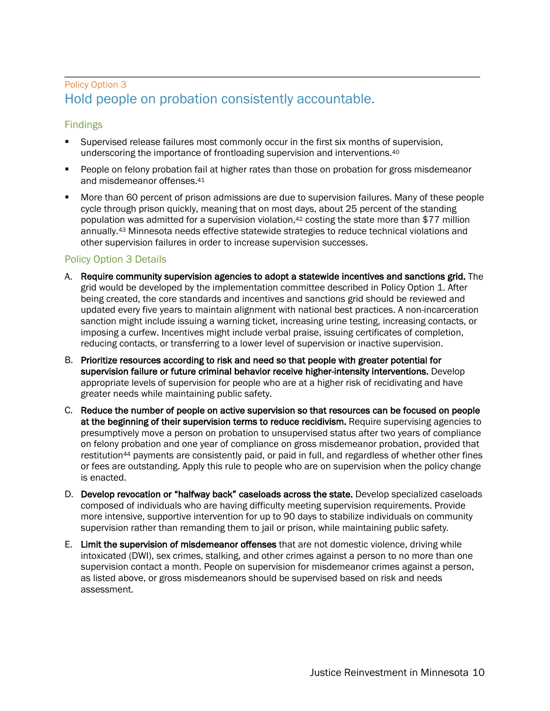## \_\_\_\_\_\_\_\_\_\_\_\_\_\_\_\_\_\_\_\_\_\_\_\_\_\_\_\_\_\_\_\_\_\_\_\_\_\_\_\_\_\_\_\_\_\_\_\_\_\_\_\_\_\_\_\_\_\_\_\_\_\_\_\_\_\_ Policy Option 3 Hold people on probation consistently accountable.

#### Findings

- § Supervised release failures most commonly occur in the first six months of supervision, underscoring the importance of frontloading supervision and interventions.40
- People on felony probation fail at higher rates than those on probation for gross misdemeanor and misdemeanor offenses.41
- § More than 60 percent of prison admissions are due to supervision failures. Many of these people cycle through prison quickly, meaning that on most days, about 25 percent of the standing population was admitted for a supervision violation,<sup>42</sup> costing the state more than \$77 million annually.43 Minnesota needs effective statewide strategies to reduce technical violations and other supervision failures in order to increase supervision successes.

#### Policy Option 3 Details

- A. Require community supervision agencies to adopt a statewide incentives and sanctions grid. The grid would be developed by the implementation committee described in Policy Option 1. After being created, the core standards and incentives and sanctions grid should be reviewed and updated every five years to maintain alignment with national best practices. A non-incarceration sanction might include issuing a warning ticket, increasing urine testing, increasing contacts, or imposing a curfew. Incentives might include verbal praise, issuing certificates of completion, reducing contacts, or transferring to a lower level of supervision or inactive supervision.
- B. Prioritize resources according to risk and need so that people with greater potential for supervision failure or future criminal behavior receive higher-intensity interventions. Develop appropriate levels of supervision for people who are at a higher risk of recidivating and have greater needs while maintaining public safety.
- C. Reduce the number of people on active supervision so that resources can be focused on people at the beginning of their supervision terms to reduce recidivism. Require supervising agencies to presumptively move a person on probation to unsupervised status after two years of compliance on felony probation and one year of compliance on gross misdemeanor probation, provided that restitution44 payments are consistently paid, or paid in full, and regardless of whether other fines or fees are outstanding. Apply this rule to people who are on supervision when the policy change is enacted.
- D. Develop revocation or "halfway back" caseloads across the state. Develop specialized caseloads composed of individuals who are having difficulty meeting supervision requirements. Provide more intensive, supportive intervention for up to 90 days to stabilize individuals on community supervision rather than remanding them to jail or prison, while maintaining public safety*.*
- E. Limit the supervision of misdemeanor offenses that are not domestic violence, driving while intoxicated (DWI), sex crimes, stalking, and other crimes against a person to no more than one supervision contact a month. People on supervision for misdemeanor crimes against a person, as listed above, or gross misdemeanors should be supervised based on risk and needs assessment.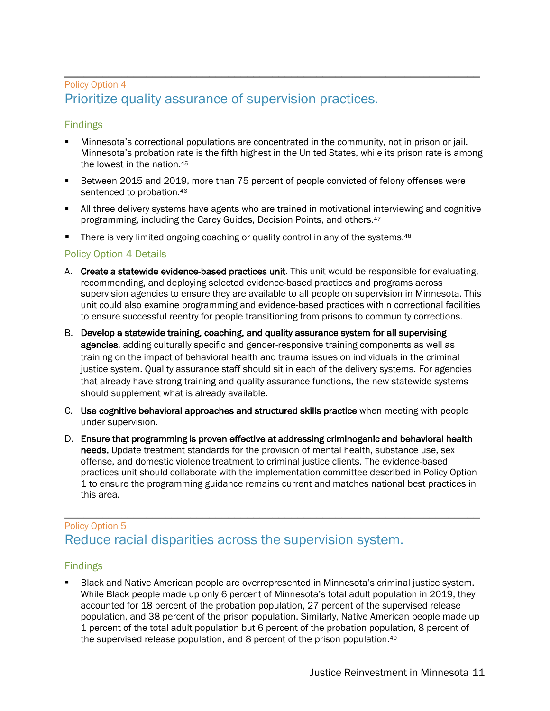### \_\_\_\_\_\_\_\_\_\_\_\_\_\_\_\_\_\_\_\_\_\_\_\_\_\_\_\_\_\_\_\_\_\_\_\_\_\_\_\_\_\_\_\_\_\_\_\_\_\_\_\_\_\_\_\_\_\_\_\_\_\_\_\_\_\_ Policy Option 4 Prioritize quality assurance of supervision practices.

#### Findings

- § Minnesota's correctional populations are concentrated in the community, not in prison or jail. Minnesota's probation rate is the fifth highest in the United States, while its prison rate is among the lowest in the nation.45
- § Between 2015 and 2019, more than 75 percent of people convicted of felony offenses were sentenced to probation.<sup>46</sup>
- All three delivery systems have agents who are trained in motivational interviewing and cognitive programming, including the Carey Guides, Decision Points, and others.47
- **•** There is very limited ongoing coaching or quality control in any of the systems.<sup>48</sup>

#### Policy Option 4 Details

- A. Create a statewide evidence-based practices unit. This unit would be responsible for evaluating, recommending, and deploying selected evidence-based practices and programs across supervision agencies to ensure they are available to all people on supervision in Minnesota. This unit could also examine programming and evidence-based practices within correctional facilities to ensure successful reentry for people transitioning from prisons to community corrections.
- B. Develop a statewide training, coaching, and quality assurance system for all supervising agencies, adding culturally specific and gender-responsive training components as well as training on the impact of behavioral health and trauma issues on individuals in the criminal justice system. Quality assurance staff should sit in each of the delivery systems. For agencies that already have strong training and quality assurance functions, the new statewide systems should supplement what is already available.
- C. Use cognitive behavioral approaches and structured skills practice when meeting with people under supervision.
- D. Ensure that programming is proven effective at addressing criminogenic and behavioral health needs. Update treatment standards for the provision of mental health, substance use, sex offense, and domestic violence treatment to criminal justice clients. The evidence-based practices unit should collaborate with the implementation committee described in Policy Option 1 to ensure the programming guidance remains current and matches national best practices in this area.

## \_\_\_\_\_\_\_\_\_\_\_\_\_\_\_\_\_\_\_\_\_\_\_\_\_\_\_\_\_\_\_\_\_\_\_\_\_\_\_\_\_\_\_\_\_\_\_\_\_\_\_\_\_\_\_\_\_\_\_\_\_\_\_\_\_\_ Policy Option 5 Reduce racial disparities across the supervision system.

#### Findings

§ Black and Native American people are overrepresented in Minnesota's criminal justice system. While Black people made up only 6 percent of Minnesota's total adult population in 2019, they accounted for 18 percent of the probation population, 27 percent of the supervised release population, and 38 percent of the prison population. Similarly, Native American people made up 1 percent of the total adult population but 6 percent of the probation population, 8 percent of the supervised release population, and 8 percent of the prison population.<sup>49</sup>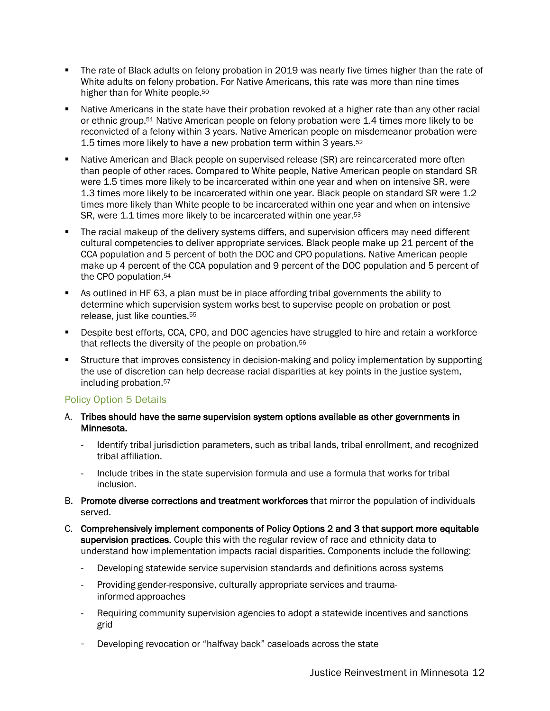- The rate of Black adults on felony probation in 2019 was nearly five times higher than the rate of White adults on felony probation. For Native Americans, this rate was more than nine times higher than for White people.50
- Native Americans in the state have their probation revoked at a higher rate than any other racial or ethnic group.51 Native American people on felony probation were 1.4 times more likely to be reconvicted of a felony within 3 years. Native American people on misdemeanor probation were 1.5 times more likely to have a new probation term within 3 years.52
- Native American and Black people on supervised release (SR) are reincarcerated more often than people of other races. Compared to White people, Native American people on standard SR were 1.5 times more likely to be incarcerated within one year and when on intensive SR, were 1.3 times more likely to be incarcerated within one year. Black people on standard SR were 1.2 times more likely than White people to be incarcerated within one year and when on intensive SR, were 1.1 times more likely to be incarcerated within one year.<sup>53</sup>
- The racial makeup of the delivery systems differs, and supervision officers may need different cultural competencies to deliver appropriate services. Black people make up 21 percent of the CCA population and 5 percent of both the DOC and CPO populations. Native American people make up 4 percent of the CCA population and 9 percent of the DOC population and 5 percent of the CPO population.54
- § As outlined in HF 63, a plan must be in place affording tribal governments the ability to determine which supervision system works best to supervise people on probation or post release, just like counties.55
- **•** Despite best efforts, CCA, CPO, and DOC agencies have struggled to hire and retain a workforce that reflects the diversity of the people on probation.56
- Structure that improves consistency in decision-making and policy implementation by supporting the use of discretion can help decrease racial disparities at key points in the justice system, including probation.57

#### Policy Option 5 Details

- A. Tribes should have the same supervision system options available as other governments in Minnesota.
	- Identify tribal jurisdiction parameters, such as tribal lands, tribal enrollment, and recognized tribal affiliation.
	- Include tribes in the state supervision formula and use a formula that works for tribal inclusion.
- B. Promote diverse corrections and treatment workforces that mirror the population of individuals served.
- C. Comprehensively implement components of Policy Options 2 and 3 that support more equitable supervision practices. Couple this with the regular review of race and ethnicity data to understand how implementation impacts racial disparities. Components include the following:
	- Developing statewide service supervision standards and definitions across systems
	- Providing gender-responsive, culturally appropriate services and traumainformed approaches
	- Requiring community supervision agencies to adopt a statewide incentives and sanctions grid
	- Developing revocation or "halfway back" caseloads across the state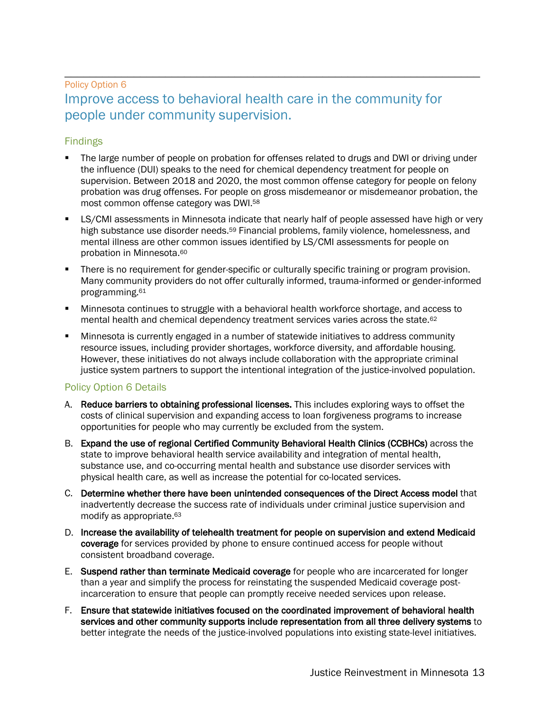### \_\_\_\_\_\_\_\_\_\_\_\_\_\_\_\_\_\_\_\_\_\_\_\_\_\_\_\_\_\_\_\_\_\_\_\_\_\_\_\_\_\_\_\_\_\_\_\_\_\_\_\_\_\_\_\_\_\_\_\_\_\_\_\_\_\_ Policy Option 6 Improve access to behavioral health care in the community for people under community supervision.

#### Findings

- The large number of people on probation for offenses related to drugs and DWI or driving under the influence (DUI) speaks to the need for chemical dependency treatment for people on supervision. Between 2018 and 2020, the most common offense category for people on felony probation was drug offenses. For people on gross misdemeanor or misdemeanor probation, the most common offense category was DWI.58
- LS/CMI assessments in Minnesota indicate that nearly half of people assessed have high or very high substance use disorder needs.<sup>59</sup> Financial problems, family violence, homelessness, and mental illness are other common issues identified by LS/CMI assessments for people on probation in Minnesota.60
- There is no requirement for gender-specific or culturally specific training or program provision. Many community providers do not offer culturally informed, trauma-informed or gender-informed programming.61
- Minnesota continues to struggle with a behavioral health workforce shortage, and access to mental health and chemical dependency treatment services varies across the state.62
- § Minnesota is currently engaged in a number of statewide initiatives to address community resource issues, including provider shortages, workforce diversity, and affordable housing. However, these initiatives do not always include collaboration with the appropriate criminal justice system partners to support the intentional integration of the justice-involved population.

#### Policy Option 6 Details

- A. Reduce barriers to obtaining professional licenses. This includes exploring ways to offset the costs of clinical supervision and expanding access to loan forgiveness programs to increase opportunities for people who may currently be excluded from the system.
- B. Expand the use of regional Certified Community Behavioral Health Clinics (CCBHCs) across the state to improve behavioral health service availability and integration of mental health, substance use, and co-occurring mental health and substance use disorder services with physical health care, as well as increase the potential for co-located services.
- C. Determine whether there have been unintended consequences of the Direct Access model that inadvertently decrease the success rate of individuals under criminal justice supervision and modify as appropriate.<sup>63</sup>
- D. Increase the availability of telehealth treatment for people on supervision and extend Medicaid coverage for services provided by phone to ensure continued access for people without consistent broadband coverage.
- E. Suspend rather than terminate Medicaid coverage for people who are incarcerated for longer than a year and simplify the process for reinstating the suspended Medicaid coverage postincarceration to ensure that people can promptly receive needed services upon release.
- F. Ensure that statewide initiatives focused on the coordinated improvement of behavioral health services and other community supports include representation from all three delivery systems to better integrate the needs of the justice-involved populations into existing state-level initiatives.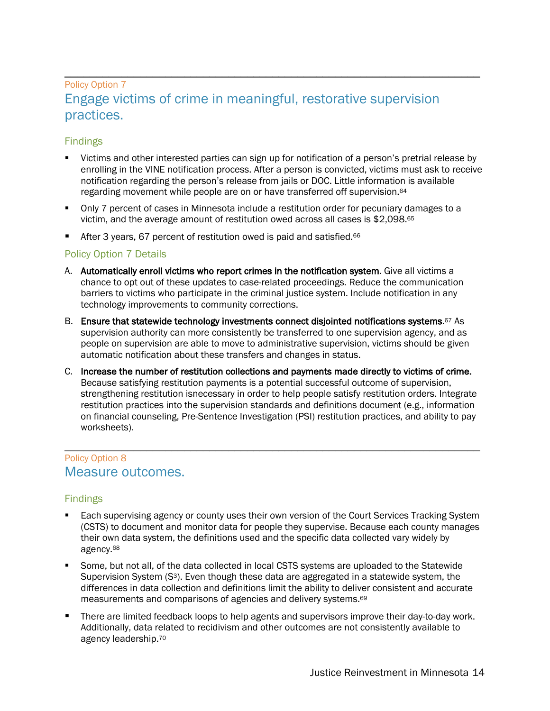### \_\_\_\_\_\_\_\_\_\_\_\_\_\_\_\_\_\_\_\_\_\_\_\_\_\_\_\_\_\_\_\_\_\_\_\_\_\_\_\_\_\_\_\_\_\_\_\_\_\_\_\_\_\_\_\_\_\_\_\_\_\_\_\_\_\_ Policy Option 7 Engage victims of crime in meaningful, restorative supervision practices.

#### Findings

- § Victims and other interested parties can sign up for notification of a person's pretrial release by enrolling in the VINE notification process. After a person is convicted, victims must ask to receive notification regarding the person's release from jails or DOC. Little information is available regarding movement while people are on or have transferred off supervision.64
- Only 7 percent of cases in Minnesota include a restitution order for pecuniary damages to a victim, and the average amount of restitution owed across all cases is \$2,098.65
- After 3 years, 67 percent of restitution owed is paid and satisfied.<sup>66</sup>

#### Policy Option 7 Details

- A. Automatically enroll victims who report crimes in the notification system. Give all victims a chance to opt out of these updates to case-related proceedings. Reduce the communication barriers to victims who participate in the criminal justice system. Include notification in any technology improvements to community corrections.
- B. Ensure that statewide technology investments connect disjointed notifications systems.<sup>67</sup> As supervision authority can more consistently be transferred to one supervision agency, and as people on supervision are able to move to administrative supervision, victims should be given automatic notification about these transfers and changes in status.
- C. Increase the number of restitution collections and payments made directly to victims of crime. Because satisfying restitution payments is a potential successful outcome of supervision, strengthening restitution isnecessary in order to help people satisfy restitution orders. Integrate restitution practices into the supervision standards and definitions document (e.g., information on financial counseling, Pre-Sentence Investigation (PSI) restitution practices, and ability to pay worksheets).

### \_\_\_\_\_\_\_\_\_\_\_\_\_\_\_\_\_\_\_\_\_\_\_\_\_\_\_\_\_\_\_\_\_\_\_\_\_\_\_\_\_\_\_\_\_\_\_\_\_\_\_\_\_\_\_\_\_\_\_\_\_\_\_\_\_\_ Policy Option 8 Measure outcomes.

#### Findings

- Each supervising agency or county uses their own version of the Court Services Tracking System (CSTS) to document and monitor data for people they supervise. Because each county manages their own data system, the definitions used and the specific data collected vary widely by agency.68
- § Some, but not all, of the data collected in local CSTS systems are uploaded to the Statewide Supervision System (S<sup>3</sup>). Even though these data are aggregated in a statewide system, the differences in data collection and definitions limit the ability to deliver consistent and accurate measurements and comparisons of agencies and delivery systems.69
- There are limited feedback loops to help agents and supervisors improve their day-to-day work. Additionally, data related to recidivism and other outcomes are not consistently available to agency leadership.70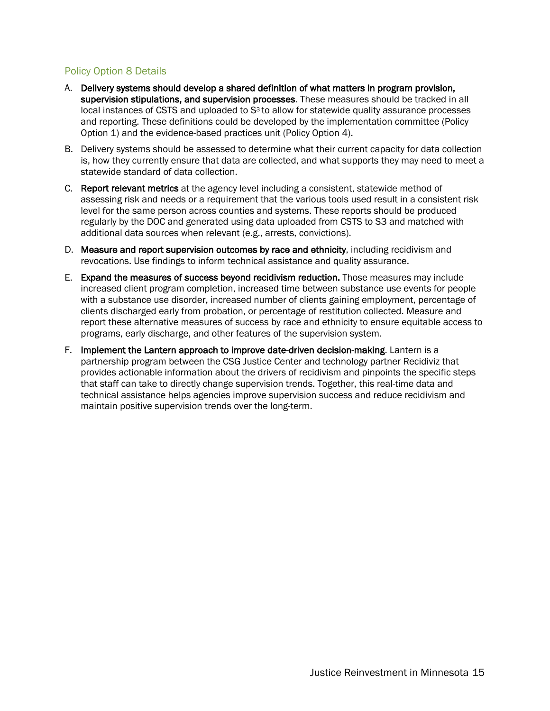#### Policy Option 8 Details

- A. Delivery systems should develop a shared definition of what matters in program provision, supervision stipulations, and supervision processes. These measures should be tracked in all local instances of CSTS and uploaded to  $S<sup>3</sup>$  to allow for statewide quality assurance processes and reporting. These definitions could be developed by the implementation committee (Policy Option 1) and the evidence-based practices unit (Policy Option 4).
- B. Delivery systems should be assessed to determine what their current capacity for data collection is, how they currently ensure that data are collected, and what supports they may need to meet a statewide standard of data collection.
- C. Report relevant metrics at the agency level including a consistent, statewide method of assessing risk and needs or a requirement that the various tools used result in a consistent risk level for the same person across counties and systems. These reports should be produced regularly by the DOC and generated using data uploaded from CSTS to S3 and matched with additional data sources when relevant (e.g., arrests, convictions).
- D. Measure and report supervision outcomes by race and ethnicity, including recidivism and revocations. Use findings to inform technical assistance and quality assurance.
- E. Expand the measures of success beyond recidivism reduction. Those measures may include increased client program completion, increased time between substance use events for people with a substance use disorder, increased number of clients gaining employment, percentage of clients discharged early from probation, or percentage of restitution collected. Measure and report these alternative measures of success by race and ethnicity to ensure equitable access to programs, early discharge, and other features of the supervision system.
- F. Implement the Lantern approach to improve date-driven decision-making. Lantern is a partnership program between the CSG Justice Center and technology partner Recidiviz that provides actionable information about the drivers of recidivism and pinpoints the specific steps that staff can take to directly change supervision trends. Together, this real-time data and technical assistance helps agencies improve supervision success and reduce recidivism and maintain positive supervision trends over the long-term.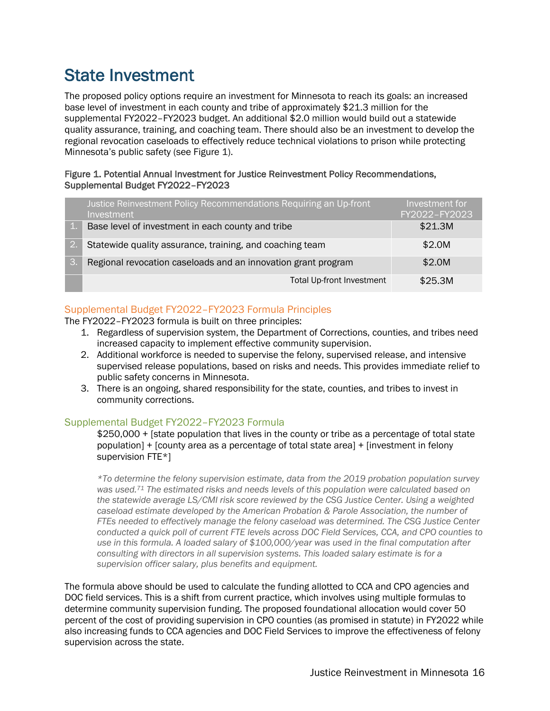### State Investment

The proposed policy options require an investment for Minnesota to reach its goals: an increased base level of investment in each county and tribe of approximately \$21.3 million for the supplemental FY2022–FY2023 budget. An additional \$2.0 million would build out a statewide quality assurance, training, and coaching team. There should also be an investment to develop the regional revocation caseloads to effectively reduce technical violations to prison while protecting Minnesota's public safety (see Figure 1).

#### Figure 1. Potential Annual Investment for Justice Reinvestment Policy Recommendations, Supplemental Budget FY2022–FY2023

|                  | Justice Reinvestment Policy Recommendations Requiring an Up-front<br>Investment | Investment for<br>FY2022-FY2023 |
|------------------|---------------------------------------------------------------------------------|---------------------------------|
| $\mathbf{1}$ .   | Base level of investment in each county and tribe                               | \$21.3M                         |
| $\overline{2}$ . | Statewide quality assurance, training, and coaching team                        | \$2.0M                          |
| $\mathcal{S}$ .  | Regional revocation caseloads and an innovation grant program                   | \$2.0M                          |
|                  | <b>Total Up-front Investment</b>                                                | \$25.3M                         |

#### Supplemental Budget FY2022–FY2023 Formula Principles

The FY2022–FY2023 formula is built on three principles:

- 1. Regardless of supervision system, the Department of Corrections, counties, and tribes need increased capacity to implement effective community supervision.
- 2. Additional workforce is needed to supervise the felony, supervised release, and intensive supervised release populations, based on risks and needs. This provides immediate relief to public safety concerns in Minnesota.
- 3. There is an ongoing, shared responsibility for the state, counties, and tribes to invest in community corrections.

#### Supplemental Budget FY2022–FY2023 Formula

\$250,000 + [state population that lives in the county or tribe as a percentage of total state population] + [county area as a percentage of total state area] + [investment in felony supervision FTE\*]

*\*To determine the felony supervision estimate, data from the 2019 probation population survey was used.71 The estimated risks and needs levels of this population were calculated based on the statewide average LS/CMI risk score reviewed by the CSG Justice Center. Using a weighted caseload estimate developed by the American Probation & Parole Association, the number of FTEs needed to effectively manage the felony caseload was determined. The CSG Justice Center conducted a quick poll of current FTE levels across DOC Field Services, CCA, and CPO counties to use in this formula. A loaded salary of \$100,000/year was used in the final computation after consulting with directors in all supervision systems. This loaded salary estimate is for a supervision officer salary, plus benefits and equipment.*

The formula above should be used to calculate the funding allotted to CCA and CPO agencies and DOC field services. This is a shift from current practice, which involves using multiple formulas to determine community supervision funding. The proposed foundational allocation would cover 50 percent of the cost of providing supervision in CPO counties (as promised in statute) in FY2022 while also increasing funds to CCA agencies and DOC Field Services to improve the effectiveness of felony supervision across the state.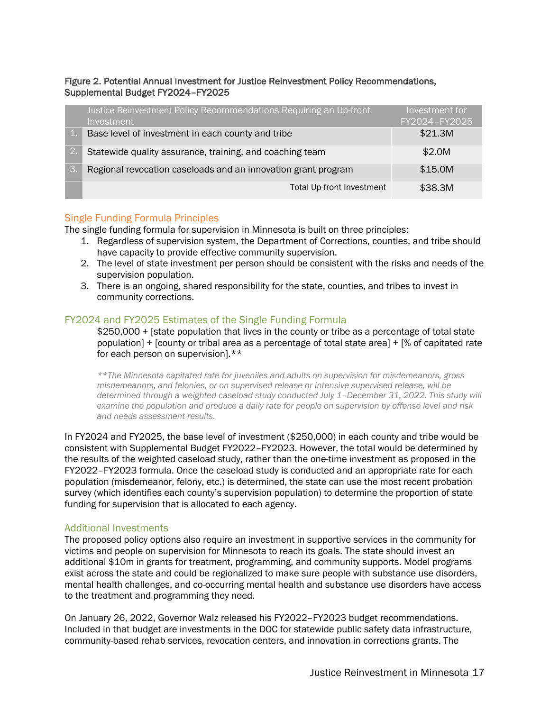#### Figure 2. Potential Annual Investment for Justice Reinvestment Policy Recommendations, Supplemental Budget FY2024–FY2025

|                  | Justice Reinvestment Policy Recommendations Requiring an Up-front<br><b>Investment</b> | Investment for<br>FY2024-FY2025 |
|------------------|----------------------------------------------------------------------------------------|---------------------------------|
|                  | Base level of investment in each county and tribe                                      | \$21.3M                         |
| $\overline{2}$ . | Statewide quality assurance, training, and coaching team                               | \$2.0M                          |
| $\mathcal{S}$ .  | Regional revocation caseloads and an innovation grant program                          | \$15.0M                         |
|                  | <b>Total Up-front Investment</b>                                                       | \$38.3M                         |

#### Single Funding Formula Principles

The single funding formula for supervision in Minnesota is built on three principles:

- 1. Regardless of supervision system, the Department of Corrections, counties, and tribe should have capacity to provide effective community supervision.
- 2. The level of state investment per person should be consistent with the risks and needs of the supervision population.
- 3. There is an ongoing, shared responsibility for the state, counties, and tribes to invest in community corrections.

#### FY2024 and FY2025 Estimates of the Single Funding Formula

\$250,000 + [state population that lives in the county or tribe as a percentage of total state population] + [county or tribal area as a percentage of total state area] + [% of capitated rate for each person on supervision].\*\*

*\*\*The Minnesota capitated rate for juveniles and adults on supervision for misdemeanors, gross misdemeanors, and felonies, or on supervised release or intensive supervised release, will be*  determined through a weighted caseload study conducted July 1-December 31, 2022. This study will *examine the population and produce a daily rate for people on supervision by offense level and risk and needs assessment results.*

In FY2024 and FY2025, the base level of investment (\$250,000) in each county and tribe would be consistent with Supplemental Budget FY2022–FY2023. However, the total would be determined by the results of the weighted caseload study, rather than the one-time investment as proposed in the FY2022–FY2023 formula. Once the caseload study is conducted and an appropriate rate for each population (misdemeanor, felony, etc.) is determined, the state can use the most recent probation survey (which identifies each county's supervision population) to determine the proportion of state funding for supervision that is allocated to each agency.

#### Additional Investments

The proposed policy options also require an investment in supportive services in the community for victims and people on supervision for Minnesota to reach its goals. The state should invest an additional \$10m in grants for treatment, programming, and community supports. Model programs exist across the state and could be regionalized to make sure people with substance use disorders, mental health challenges, and co-occurring mental health and substance use disorders have access to the treatment and programming they need.

On January 26, 2022, Governor Walz released his FY2022–FY2023 budget recommendations. Included in that budget are investments in the DOC for statewide public safety data infrastructure, community-based rehab services, revocation centers, and innovation in corrections grants. The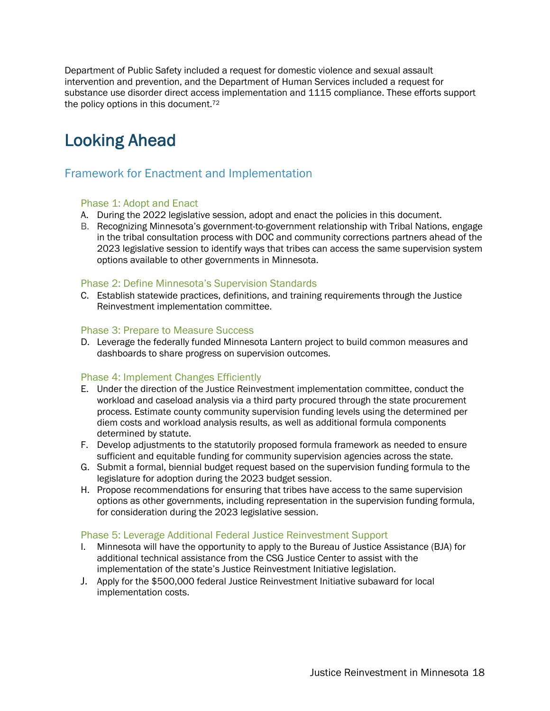Department of Public Safety included a request for domestic violence and sexual assault intervention and prevention, and the Department of Human Services included a request for substance use disorder direct access implementation and 1115 compliance. These efforts support the policy options in this document.<sup>72</sup>

### Looking Ahead

### Framework for Enactment and Implementation

#### Phase 1: Adopt and Enact

- A. During the 2022 legislative session, adopt and enact the policies in this document.
- B. Recognizing Minnesota's government-to-government relationship with Tribal Nations, engage in the tribal consultation process with DOC and community corrections partners ahead of the 2023 legislative session to identify ways that tribes can access the same supervision system options available to other governments in Minnesota.

#### Phase 2: Define Minnesota's Supervision Standards

C. Establish statewide practices, definitions, and training requirements through the Justice Reinvestment implementation committee.

#### Phase 3: Prepare to Measure Success

D. Leverage the federally funded Minnesota Lantern project to build common measures and dashboards to share progress on supervision outcomes.

#### Phase 4: Implement Changes Efficiently

- E. Under the direction of the Justice Reinvestment implementation committee, conduct the workload and caseload analysis via a third party procured through the state procurement process. Estimate county community supervision funding levels using the determined per diem costs and workload analysis results, as well as additional formula components determined by statute.
- F. Develop adjustments to the statutorily proposed formula framework as needed to ensure sufficient and equitable funding for community supervision agencies across the state.
- G. Submit a formal, biennial budget request based on the supervision funding formula to the legislature for adoption during the 2023 budget session.
- H. Propose recommendations for ensuring that tribes have access to the same supervision options as other governments, including representation in the supervision funding formula, for consideration during the 2023 legislative session.

#### Phase 5: Leverage Additional Federal Justice Reinvestment Support

- I. Minnesota will have the opportunity to apply to the Bureau of Justice Assistance (BJA) for additional technical assistance from the CSG Justice Center to assist with the implementation of the state's Justice Reinvestment Initiative legislation.
- J. Apply for the \$500,000 federal Justice Reinvestment Initiative subaward for local implementation costs.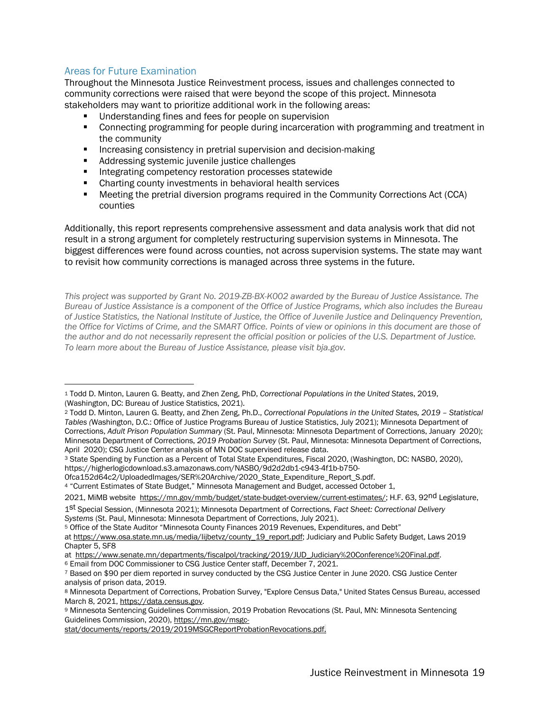#### Areas for Future Examination

Throughout the Minnesota Justice Reinvestment process, issues and challenges connected to community corrections were raised that were beyond the scope of this project. Minnesota stakeholders may want to prioritize additional work in the following areas:

- Understanding fines and fees for people on supervision
- **Connecting programming for people during incarceration with programming and treatment in** the community
- Increasing consistency in pretrial supervision and decision-making
- Addressing systemic juvenile justice challenges
- Integrating competency restoration processes statewide
- Charting county investments in behavioral health services
- **■** Meeting the pretrial diversion programs required in the Community Corrections Act (CCA) counties

Additionally, this report represents comprehensive assessment and data analysis work that did not result in a strong argument for completely restructuring supervision systems in Minnesota. The biggest differences were found across counties, not across supervision systems. The state may want to revisit how community corrections is managed across three systems in the future.

*This project was supported by Grant No. 2019-ZB-BX-K002 awarded by the Bureau of Justice Assistance. The Bureau of Justice Assistance is a component of the Office of Justice Programs, which also includes the Bureau of Justice Statistics, the National Institute of Justice, the Office of Juvenile Justice and Delinquency Prevention, the Office for Victims of Crime, and the SMART Office. Points of view or opinions in this document are those of the author and do not necessarily represent the official position or policies of the U.S. Department of Justice. To learn more about the Bureau of Justice Assistance, please visit bja.gov.*

0fca152d64c2/UploadedImages/SER%20Archive/2020\_State\_Expenditure\_Report\_S.pdf.

<sup>4</sup> "Current Estimates of State Budget," Minnesota Management and Budget, accessed October 1,

```
2021, MiMB website https://mn.gov/mmb/budget/state-budget-overview/current-estimates/; H.F. 63, 92nd Legislature,
```
<sup>1</sup> Todd D. Minton, Lauren G. Beatty, and Zhen Zeng, PhD, *Correctional Populations in the United States*, 2019, (Washington, DC: Bureau of Justice Statistics, 2021).

<sup>2</sup> Todd D. Minton, Lauren G. Beatty, and Zhen Zeng, Ph.D., *Correctional Populations in the United States, 2019 – Statistical Tables (*Washington, D.C.: Office of Justice Programs Bureau of Justice Statistics, July 2021); Minnesota Department of Corrections, *Adult Prison Population Summary* (St. Paul, Minnesota: Minnesota Department of Corrections, January 2020); Minnesota Department of Corrections, *2019 Probation Survey* (St. Paul, Minnesota: Minnesota Department of Corrections, April 2020); CSG Justice Center analysis of MN DOC supervised release data.

<sup>3</sup> State Spending by Function as a Percent of Total State Expenditures, Fiscal 2020, (Washington, DC: NASBO, 2020), https://higherlogicdownload.s3.amazonaws.com/NASBO/9d2d2db1-c943-4f1b-b750-

<sup>1</sup>st Special Session, (Minnesota 2021); Minnesota Department of Corrections, *Fact Sheet: Correctional Delivery Systems* (St. Paul, Minnesota: Minnesota Department of Corrections, July 2021). 5 Office of the State Auditor "Minnesota County Finances 2019 Revenues, Expenditures, and Debt"

at https://www.osa.state.mn.us/media/lijbetvz/county\_19\_report.pdf; Judiciary and Public Safety Budget, Laws 2019 Chapter 5, SF8

at https://www.senate.mn/departments/fiscalpol/tracking/2019/JUD\_Judiciary%20Conference%20Final.pdf.

<sup>6</sup> Email from DOC Commissioner to CSG Justice Center staff, December 7, 2021.

<sup>7</sup> Based on \$90 per diem reported in survey conducted by the CSG Justice Center in June 2020. CSG Justice Center analysis of prison data, 2019.

<sup>8</sup> Minnesota Department of Corrections, Probation Survey, "Explore Census Data," United States Census Bureau, accessed March 8, 2021, https://data.census.gov.

<sup>9</sup> Minnesota Sentencing Guidelines Commission, 2019 Probation Revocations (St. Paul, MN: Minnesota Sentencing Guidelines Commission, 2020), https://mn.gov/msgc-

stat/documents/reports/2019/2019MSGCReportProbationRevocations.pdf.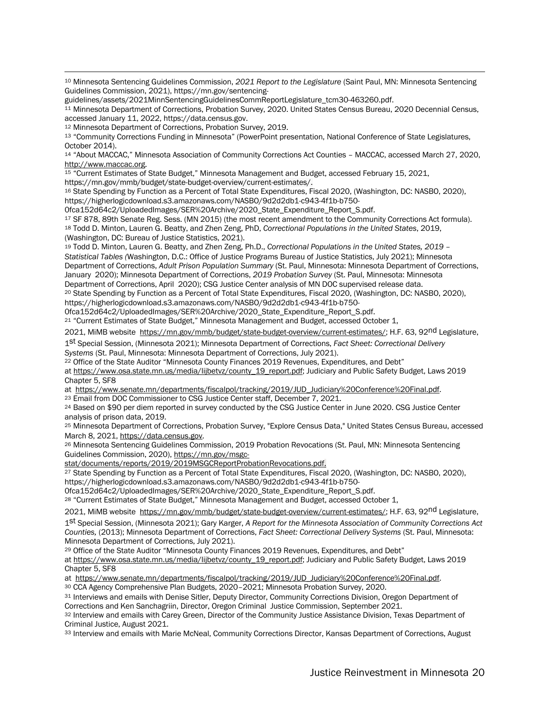<sup>10</sup> Minnesota Sentencing Guidelines Commission, *2021 Report to the Legislature* (Saint Paul, MN: Minnesota Sentencing Guidelines Commission, 2021), https://mn.gov/sentencing-

guidelines/assets/2021MinnSentencingGuidelinesCommReportLegislature\_tcm30-463260.pdf.

<sup>11</sup> Minnesota Department of Corrections, Probation Survey, 2020. United States Census Bureau, 2020 Decennial Census, accessed January 11, 2022, https://data.census.gov.

<sup>12</sup> Minnesota Department of Corrections, Probation Survey, 2019.

<sup>13</sup> "Community Corrections Funding in Minnesota" (PowerPoint presentation, National Conference of State Legislatures, October 2014).

<sup>14</sup> "About MACCAC," Minnesota Association of Community Corrections Act Counties – MACCAC, accessed March 27, 2020, http://www.maccac.org.

<sup>15</sup> "Current Estimates of State Budget," Minnesota Management and Budget, accessed February 15, 2021,

https://mn.gov/mmb/budget/state-budget-overview/current-estimates/.

<sup>16</sup> State Spending by Function as a Percent of Total State Expenditures, Fiscal 2020, (Washington, DC: NASBO, 2020), https://higherlogicdownload.s3.amazonaws.com/NASBO/9d2d2db1-c943-4f1b-b750-

0fca152d64c2/UploadedImages/SER%20Archive/2020\_State\_Expenditure\_Report\_S.pdf.

<sup>17</sup> SF 878, 89th Senate Reg. Sess. (MN 2015) (the most recent amendment to the Community Corrections Act formula). <sup>18</sup> Todd D. Minton, Lauren G. Beatty, and Zhen Zeng, PhD, *Correctional Populations in the United States*, 2019, (Washington, DC: Bureau of Justice Statistics, 2021).

<sup>19</sup> Todd D. Minton, Lauren G. Beatty, and Zhen Zeng, Ph.D., *Correctional Populations in the United States, 2019 – Statistical Tables (*Washington, D.C.: Office of Justice Programs Bureau of Justice Statistics, July 2021); Minnesota Department of Corrections, *Adult Prison Population Summary* (St. Paul, Minnesota: Minnesota Department of Corrections, January 2020); Minnesota Department of Corrections, *2019 Probation Survey* (St. Paul, Minnesota: Minnesota Department of Corrections, April 2020); CSG Justice Center analysis of MN DOC supervised release data.

<sup>20</sup> State Spending by Function as a Percent of Total State Expenditures, Fiscal 2020, (Washington, DC: NASBO, 2020), https://higherlogicdownload.s3.amazonaws.com/NASBO/9d2d2db1-c943-4f1b-b750-

0fca152d64c2/UploadedImages/SER%20Archive/2020\_State\_Expenditure\_Report\_S.pdf.

<sup>21</sup> "Current Estimates of State Budget," Minnesota Management and Budget, accessed October 1,

2021, MiMB website https://mn.gov/mmb/budget/state-budget-overview/current-estimates/; H.F. 63, 92nd Legislature,

1st Special Session, (Minnesota 2021); Minnesota Department of Corrections, *Fact Sheet: Correctional Delivery Systems* (St. Paul, Minnesota: Minnesota Department of Corrections, July 2021). 22 Office of the State Auditor "Minnesota County Finances 2019 Revenues, Expenditures, and Debt"

at https://www.osa.state.mn.us/media/lijbetvz/county\_19\_report.pdf; Judiciary and Public Safety Budget, Laws 2019 Chapter 5, SF8

at https://www.senate.mn/departments/fiscalpol/tracking/2019/JUD\_Judiciary%20Conference%20Final.pdf.

<sup>23</sup> Email from DOC Commissioner to CSG Justice Center staff, December 7, 2021.<br><sup>24</sup> Based on \$90 per diem reported in survey conducted by the CSG Justice Center in June 2020. CSG Justice Center analysis of prison data, 2019.

<sup>25</sup> Minnesota Department of Corrections, Probation Survey, "Explore Census Data," United States Census Bureau, accessed March 8, 2021, https://data.census.gov.

<sup>26</sup> Minnesota Sentencing Guidelines Commission, 2019 Probation Revocations (St. Paul, MN: Minnesota Sentencing Guidelines Commission, 2020), https://mn.gov/msgc-

stat/documents/reports/2019/2019MSGCReportProbationRevocations.pdf.

<sup>27</sup> State Spending by Function as a Percent of Total State Expenditures, Fiscal 2020, (Washington, DC: NASBO, 2020), https://higherlogicdownload.s3.amazonaws.com/NASBO/9d2d2db1-c943-4f1b-b750-

0fca152d64c2/UploadedImages/SER%20Archive/2020\_State\_Expenditure\_Report\_S.pdf.

<sup>28</sup> "Current Estimates of State Budget," Minnesota Management and Budget, accessed October 1,

2021, MiMB website https://mn.gov/mmb/budget/state-budget-overview/current-estimates/; H.F. 63, 92<sup>nd</sup> Legislature,

1st Special Session, (Minnesota 2021); Gary Karger, *A Report for the Minnesota Association of Community Corrections Act Counties,* (2013); Minnesota Department of Corrections, *Fact Sheet: Correctional Delivery Systems* (St. Paul, Minnesota:

Minnesota Department of Corrections, July 2021).<br><sup>29</sup> Office of the State Auditor "Minnesota County Finances 2019 Revenues, Expenditures, and Debt"

at https://www.osa.state.mn.us/media/lijbetvz/county\_19\_report.pdf; Judiciary and Public Safety Budget, Laws 2019 Chapter 5, SF8

at https://www.senate.mn/departments/fiscalpol/tracking/2019/JUD\_Judiciary%20Conference%20Final.pdf.

<sup>30</sup> CCA Agency Comprehensive Plan Budgets, 2020–2021; Minnesota Probation Survey, 2020.

31 Interviews and emails with Denise Sitler, Deputy Director, Community Corrections Division, Oregon Department of Corrections and Ken Sanchagriin, Director, Oregon Criminal Justice Commission, September 2021.

32 Interview and emails with Carey Green, Director of the Community Justice Assistance Division, Texas Department of Criminal Justice, August 2021.

33 Interview and emails with Marie McNeal, Community Corrections Director, Kansas Department of Corrections, August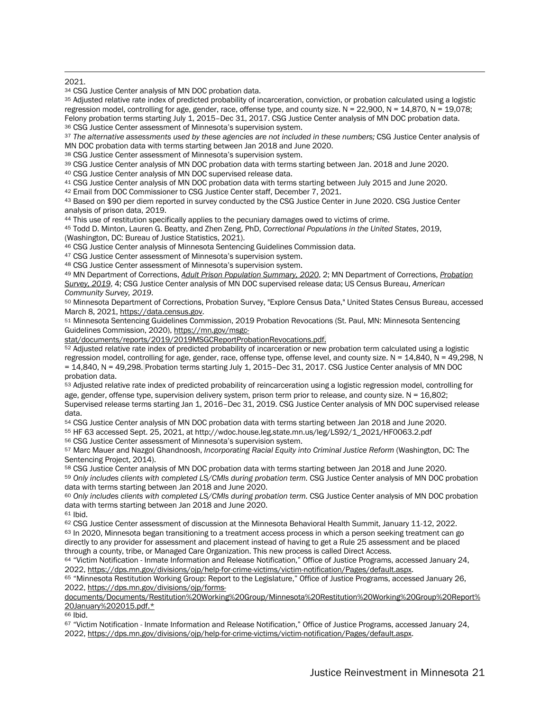2021.

<sup>34</sup> CSG Justice Center analysis of MN DOC probation data.

<sup>35</sup> Adjusted relative rate index of predicted probability of incarceration, conviction, or probation calculated using a logistic regression model, controlling for age, gender, race, offense type, and county size.  $N = 22,900$ ,  $N = 14,870$ ,  $N = 19,078$ ; Felony probation terms starting July 1, 2015–Dec 31, 2017. CSG Justice Center analysis of MN DOC probation data. <sup>36</sup> CSG Justice Center assessment of Minnesota's supervision system.

<sup>37</sup> *The alternative assessments used by these agencies are not included in these numbers;* CSG Justice Center analysis of MN DOC probation data with terms starting between Jan 2018 and June 2020.

<sup>38</sup> CSG Justice Center assessment of Minnesota's supervision system.

<sup>39</sup> CSG Justice Center analysis of MN DOC probation data with terms starting between Jan. 2018 and June 2020.

<sup>40</sup> CSG Justice Center analysis of MN DOC supervised release data.

41 CSG Justice Center analysis of MN DOC probation data with terms starting between July 2015 and June 2020.<br><sup>42</sup> Email from DOC Commissioner to CSG Justice Center staff. December 7, 2021.

43 Based on \$90 per diem reported in survey conducted by the CSG Justice Center in June 2020. CSG Justice Center analysis of prison data, 2019.

<sup>44</sup> This use of restitution specifically applies to the pecuniary damages owed to victims of crime.

<sup>45</sup> Todd D. Minton, Lauren G. Beatty, and Zhen Zeng, PhD, *Correctional Populations in the United States*, 2019, (Washington, DC: Bureau of Justice Statistics, 2021).

<sup>46</sup> CSG Justice Center analysis of Minnesota Sentencing Guidelines Commission data.

47 CSG Justice Center assessment of Minnesota's supervision system.

<sup>48</sup> CSG Justice Center assessment of Minnesota's supervision system.

<sup>49</sup> MN Department of Corrections, *Adult Prison Population Summary, 2020*, 2; MN Department of Corrections, *Probation Survey, 2019*, 4; CSG Justice Center analysis of MN DOC supervised release data; US Census Bureau, *American Community Survey, 2019*.

<sup>50</sup> Minnesota Department of Corrections, Probation Survey, "Explore Census Data," United States Census Bureau, accessed

March 8, 2021, https://data.census.gov.<br><sup>51</sup> Minnesota Sentencing Guidelines Commission, 2019 Probation Revocations (St. Paul, MN: Minnesota Sentencing Guidelines Commission, 2020), https://mn.gov/msgc-

stat/documents/reports/2019/2019MSGCReportProbationRevocations.pdf.

<sup>52</sup> Adjusted relative rate index of predicted probability of incarceration or new probation term calculated using a logistic regression model, controlling for age, gender, race, offense type, offense level, and county size.  $N = 14,840$ ,  $N = 49,298$ , N = 14,840, N = 49,298. Probation terms starting July 1, 2015–Dec 31, 2017. CSG Justice Center analysis of MN DOC probation data.

<sup>53</sup> Adjusted relative rate index of predicted probability of reincarceration using a logistic regression model, controlling for age, gender, offense type, supervision delivery system, prison term prior to release, and county size. N = 16,802; Supervised release terms starting Jan 1, 2016–Dec 31, 2019. CSG Justice Center analysis of MN DOC supervised release data.

<sup>54</sup> CSG Justice Center analysis of MN DOC probation data with terms starting between Jan 2018 and June 2020.

<sup>55</sup> HF 63 accessed Sept. 25, 2021, at http://wdoc.house.leg.state.mn.us/leg/LS92/1\_2021/HF0063.2.pdf

<sup>56</sup> CSG Justice Center assessment of Minnesota's supervision system.

<sup>57</sup> Marc Mauer and Nazgol Ghandnoosh, *Incorporating Racial Equity into Criminal Justice Reform* (Washington, DC: The Sentencing Project, 2014).

<sup>58</sup> CSG Justice Center analysis of MN DOC probation data with terms starting between Jan 2018 and June 2020.

<sup>59</sup> *Only includes clients with completed LS/CMIs during probation term.* CSG Justice Center analysis of MN DOC probation data with terms starting between Jan 2018 and June 2020.

<sup>60</sup> *Only includes clients with completed LS/CMIs during probation term.* CSG Justice Center analysis of MN DOC probation data with terms starting between Jan 2018 and June 2020.

<sup>61</sup> Ibid.

 $62$  CSG Justice Center assessment of discussion at the Minnesota Behavioral Health Summit, January 11-12, 2022.<br> $63$  In 2020, Minnesota began transitioning to a treatment access process in which a person seeking treatmen directly to any provider for assessment and placement instead of having to get a Rule 25 assessment and be placed through a county, tribe, or Managed Care Organization. This new process is called Direct Access.

<sup>64</sup> "Victim Notification - Inmate Information and Release Notification," Office of Justice Programs, accessed January 24, 2022, https://dps.mn.gov/divisions/ojp/help-for-crime-victims/victim-notification/Pages/default.aspx.<br><sup>65</sup> "Minnesota Restitution Working Group: Report to the Legislature," Office of Justice Programs, accessed January 26,

2022, https://dps.mn.gov/divisions/ojp/forms-

documents/Documents/Restitution%20Working%20Group/Minnesota%20Restitution%20Working%20Group%20Report% 20January%202015.pdf.\*

<sup>66</sup> Ibid.

<sup>67</sup> "Victim Notification - Inmate Information and Release Notification," Office of Justice Programs, accessed January 24, 2022, https://dps.mn.gov/divisions/ojp/help-for-crime-victims/victim-notification/Pages/default.aspx.